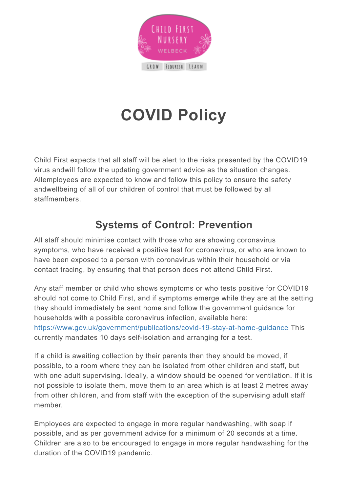

# **COVID Policy**

Child First expects that all staff will be alert to the risks presented by the COVID19 virus andwill follow the updating government advice as the situation changes. Allemployees are expected to know and follow this policy to ensure the safety andwellbeing of all of our children of control that must be followed by all staffmembers.

## **Systems of Control: Prevention**

All staff should minimise contact with those who are showing coronavirus symptoms, who have received a positive test for coronavirus, or who are known to have been exposed to a person with coronavirus within their household or via contact tracing, by ensuring that that person does not attend Child First.

Any staff member or child who shows symptoms or who tests positive for COVID19 should not come to Child First, and if symptoms emerge while they are at the setting they should immediately be sent home and follow the government guidance for households with a possible coronavirus infection, available here: <https://www.gov.uk/government/publications/covid-19-stay-at-home-guidance> This currently mandates 10 days self-isolation and arranging for a test.

If a child is awaiting collection by their parents then they should be moved, if possible, to a room where they can be isolated from other children and staff, but with one adult supervising. Ideally, a window should be opened for ventilation. If it is not possible to isolate them, move them to an area which is at least 2 metres away from other children, and from staff with the exception of the supervising adult staff member.

Employees are expected to engage in more regular handwashing, with soap if possible, and as per government advice for a minimum of 20 seconds at a time. Children are also to be encouraged to engage in more regular handwashing for the duration of the COVID19 pandemic.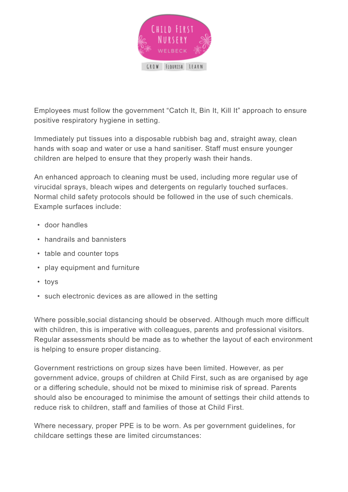

Employees must follow the government "Catch It, Bin It, Kill It" approach to ensure positive respiratory hygiene in setting.

Immediately put tissues into a disposable rubbish bag and, straight away, clean hands with soap and water or use a hand sanitiser. Staff must ensure younger children are helped to ensure that they properly wash their hands.

An enhanced approach to cleaning must be used, including more regular use of virucidal sprays, bleach wipes and detergents on regularly touched surfaces. Normal child safety protocols should be followed in the use of such chemicals. Example surfaces include:

- door handles
- handrails and bannisters
- table and counter tops
- play equipment and furniture
- toys
- such electronic devices as are allowed in the setting

Where possible,social distancing should be observed. Although much more difficult with children, this is imperative with colleagues, parents and professional visitors. Regular assessments should be made as to whether the layout of each environment is helping to ensure proper distancing.

Government restrictions on group sizes have been limited. However, as per government advice, groups of children at Child First, such as are organised by age or a differing schedule, should not be mixed to minimise risk of spread. Parents should also be encouraged to minimise the amount of settings their child attends to reduce risk to children, staff and families of those at Child First.

Where necessary, proper PPE is to be worn. As per government guidelines, for childcare settings these are limited circumstances: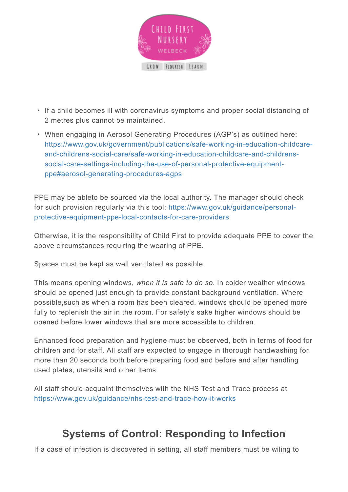

- If a child becomes ill with coronavirus symptoms and proper social distancing of 2 metres plus cannot be maintained.
- When engaging in Aerosol Generating Procedures (AGP's) as outlined here: [https://www.gov.uk/government/publications/safe-working-in-education-childcare](https://www.gov.uk/government/publications/safe-working-in-education-childcare-and-childrens-social-care/safe-working-in-education-childcare-and-childrens-social-care-settings-including-the-use-of-personal-protective-equipment-ppe#aerosol-generating-procedures-agps)[and-childrens-social-care/safe-working-in-education-childcare-and-childrens](https://www.gov.uk/government/publications/safe-working-in-education-childcare-and-childrens-social-care/safe-working-in-education-childcare-and-childrens-social-care-settings-including-the-use-of-personal-protective-equipment-ppe#aerosol-generating-procedures-agps)[social-care-settings-including-the-use-of-personal-protective-equipment](https://www.gov.uk/government/publications/safe-working-in-education-childcare-and-childrens-social-care/safe-working-in-education-childcare-and-childrens-social-care-settings-including-the-use-of-personal-protective-equipment-ppe#aerosol-generating-procedures-agps)[ppe#aerosol-generating-procedures-agps](https://www.gov.uk/government/publications/safe-working-in-education-childcare-and-childrens-social-care/safe-working-in-education-childcare-and-childrens-social-care-settings-including-the-use-of-personal-protective-equipment-ppe#aerosol-generating-procedures-agps)

PPE may be ableto be sourced via the local authority. The manager should check for such provision regularly via this tool: [https://www.gov.uk/guidance/personal](https://www.gov.uk/guidance/personal-protective-equipment-ppe-local-contacts-for-care-providers)[protective-equipment-ppe-local-contacts-for-care-providers](https://www.gov.uk/guidance/personal-protective-equipment-ppe-local-contacts-for-care-providers)

Otherwise, it is the responsibility of Child First to provide adequate PPE to cover the above circumstances requiring the wearing of PPE.

Spaces must be kept as well ventilated as possible.

This means opening windows, *when it is safe to do so*. In colder weather windows should be opened just enough to provide constant background ventilation. Where possible,such as when a room has been cleared, windows should be opened more fully to replenish the air in the room. For safety's sake higher windows should be opened before lower windows that are more accessible to children.

Enhanced food preparation and hygiene must be observed, both in terms of food for children and for staff. All staff are expected to engage in thorough handwashing for more than 20 seconds both before preparing food and before and after handling used plates, utensils and other items.

All staff should acquaint themselves with the NHS Test and Trace process at <https://www.gov.uk/guidance/nhs-test-and-trace-how-it-works>

#### **Systems of Control: Responding to Infection**

If a case of infection is discovered in setting, all staff members must be wiling to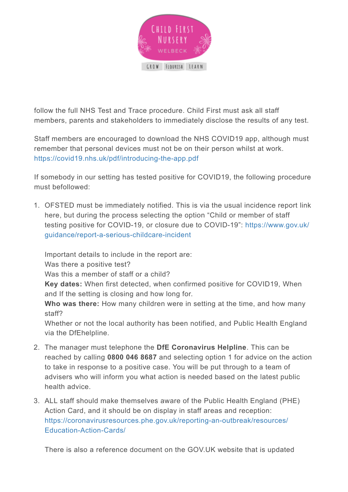

follow the full NHS Test and Trace procedure. Child First must ask all staff members, parents and stakeholders to immediately disclose the results of any test.

Staff members are encouraged to download the NHS COVID19 app, although must remember that personal devices must not be on their person whilst at work. <https://covid19.nhs.uk/pdf/introducing-the-app.pdf>

If somebody in our setting has tested positive for COVID19, the following procedure must befollowed:

1. OFSTED must be immediately notified. This is via the usual incidence report link here, but during the process selecting the option "Child or member of staff testing positive for COVID-19, or closure due to COVID-19": [https://www.gov.uk/](https://www.gov.uk/guidance/report-a-serious-childcare-incident) [guidance/report-a-serious-childcare-incident](https://www.gov.uk/guidance/report-a-serious-childcare-incident)

Important details to include in the report are:

Was there a positive test?

Was this a member of staff or a child?

**Key dates:** When first detected, when confirmed positive for COVID19, When and If the setting is closing and how long for.

**Who was there:** How many children were in setting at the time, and how many staff?

Whether or not the local authority has been notified, and Public Health England via the DfEhelpline.

- 2. The manager must telephone the **DfE Coronavirus Helpline**. This can be reached by calling **0800 046 8687** and selecting option 1 for advice on the action to take in response to a positive case. You will be put through to a team of advisers who will inform you what action is needed based on the latest public health advice.
- 3. ALL staff should make themselves aware of the Public Health England (PHE) Action Card, and it should be on display in staff areas and reception: [https://coronavirusresources.phe.gov.uk/reporting-an-outbreak/resources/](https://coronavirusresources.phe.gov.uk/reporting-an-outbreak/resources/Education-Action-Cards/) [Education-Action-Cards/](https://coronavirusresources.phe.gov.uk/reporting-an-outbreak/resources/Education-Action-Cards/)

There is also a reference document on the GOV.UK website that is updated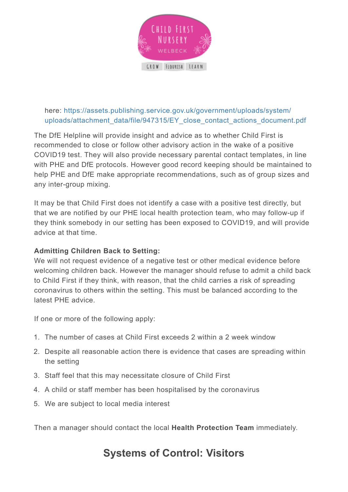

#### here: [https://assets.publishing.service.gov.uk/government/uploads/system/](https://assets.publishing.service.gov.uk/government/uploads/system/uploads/attachment_data/file/947315/EY_close_contact_actions_document.pdf) [uploads/attachment\\_data/file/947315/EY\\_close\\_contact\\_actions\\_document.pdf](https://assets.publishing.service.gov.uk/government/uploads/system/uploads/attachment_data/file/947315/EY_close_contact_actions_document.pdf)

The DfE Helpline will provide insight and advice as to whether Child First is recommended to close or follow other advisory action in the wake of a positive COVID19 test. They will also provide necessary parental contact templates, in line with PHE and DfE protocols. However good record keeping should be maintained to help PHE and DfE make appropriate recommendations, such as of group sizes and any inter-group mixing.

It may be that Child First does not identify a case with a positive test directly, but that we are notified by our PHE local health protection team, who may follow-up if they think somebody in our setting has been exposed to COVID19, and will provide advice at that time.

#### **Admitting Children Back to Setting:**

We will not request evidence of a negative test or other medical evidence before welcoming children back. However the manager should refuse to admit a child back to Child First if they think, with reason, that the child carries a risk of spreading coronavirus to others within the setting. This must be balanced according to the latest PHE advice.

If one or more of the following apply:

- 1. The number of cases at Child First exceeds 2 within a 2 week window
- 2. Despite all reasonable action there is evidence that cases are spreading within the setting
- 3. Staff feel that this may necessitate closure of Child First
- 4. A child or staff member has been hospitalised by the coronavirus
- 5. We are subject to local media interest

Then a manager should contact the local **Health Protection Team** immediately.

## **Systems of Control: Visitors**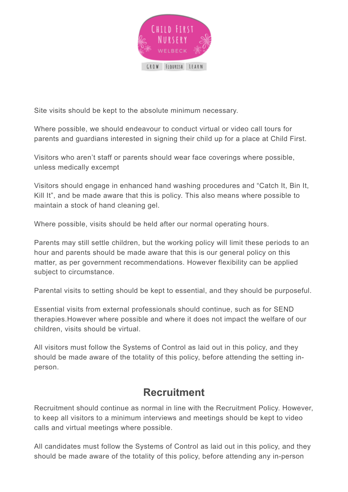

Site visits should be kept to the absolute minimum necessary.

Where possible, we should endeavour to conduct virtual or video call tours for parents and guardians interested in signing their child up for a place at Child First.

Visitors who aren't staff or parents should wear face coverings where possible, unless medically excempt

Visitors should engage in enhanced hand washing procedures and "Catch It, Bin It, Kill It", and be made aware that this is policy. This also means where possible to maintain a stock of hand cleaning gel.

Where possible, visits should be held after our normal operating hours.

Parents may still settle children, but the working policy will limit these periods to an hour and parents should be made aware that this is our general policy on this matter, as per government recommendations. However flexibility can be applied subject to circumstance.

Parental visits to setting should be kept to essential, and they should be purposeful.

Essential visits from external professionals should continue, such as for SEND therapies.However where possible and where it does not impact the welfare of our children, visits should be virtual.

All visitors must follow the Systems of Control as laid out in this policy, and they should be made aware of the totality of this policy, before attending the setting inperson.

#### **Recruitment**

Recruitment should continue as normal in line with the Recruitment Policy. However, to keep all visitors to a minimum interviews and meetings should be kept to video calls and virtual meetings where possible.

All candidates must follow the Systems of Control as laid out in this policy, and they should be made aware of the totality of this policy, before attending any in-person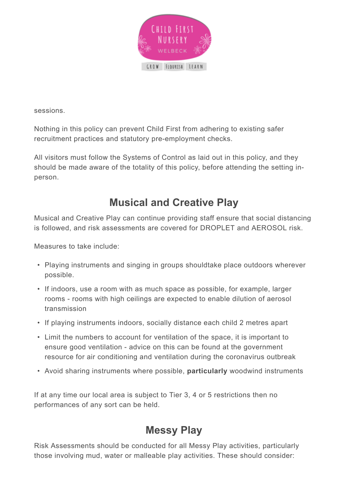

sessions.

Nothing in this policy can prevent Child First from adhering to existing safer recruitment practices and statutory pre-employment checks.

All visitors must follow the Systems of Control as laid out in this policy, and they should be made aware of the totality of this policy, before attending the setting inperson.

## **Musical and Creative Play**

Musical and Creative Play can continue providing staff ensure that social distancing is followed, and risk assessments are covered for DROPLET and AEROSOL risk.

Measures to take include:

- Playing instruments and singing in groups shouldtake place outdoors wherever possible.
- If indoors, use a room with as much space as possible, for example, larger rooms - rooms with high ceilings are expected to enable dilution of aerosol transmission
- If playing instruments indoors, socially distance each child 2 metres apart
- Limit the numbers to account for ventilation of the space, it is important to ensure good ventilation - advice on this can be found at the government resource for air conditioning and ventilation during the coronavirus outbreak
- Avoid sharing instruments where possible, **particularly** woodwind instruments

If at any time our local area is subject to Tier 3, 4 or 5 restrictions then no performances of any sort can be held.

## **Messy Play**

Risk Assessments should be conducted for all Messy Play activities, particularly those involving mud, water or malleable play activities. These should consider: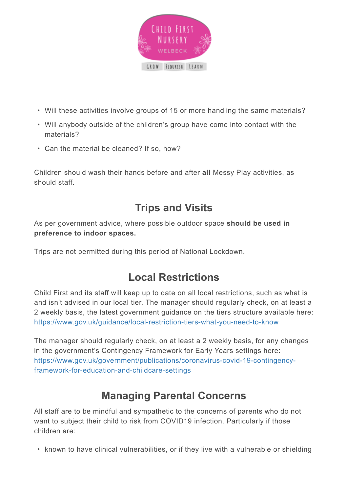

- Will these activities involve groups of 15 or more handling the same materials?
- Will anybody outside of the children's group have come into contact with the materials?
- Can the material be cleaned? If so, how?

Children should wash their hands before and after **all** Messy Play activities, as should staff.

#### **Trips and Visits**

As per government advice, where possible outdoor space **should be used in preference to indoor spaces.**

Trips are not permitted during this period of National Lockdown.

#### **Local Restrictions**

Child First and its staff will keep up to date on all local restrictions, such as what is and isn't advised in our local tier. The manager should regularly check, on at least a 2 weekly basis, the latest government guidance on the tiers structure available here: <https://www.gov.uk/guidance/local-restriction-tiers-what-you-need-to-know>

The manager should regularly check, on at least a 2 weekly basis, for any changes in the government's Contingency Framework for Early Years settings here: [https://www.gov.uk/government/publications/coronavirus-covid-19-contingency](https://www.gov.uk/government/publications/coronavirus-covid-19-contingency-framework-for-education-and-childcare-settings)[framework-for-education-and-childcare-settings](https://www.gov.uk/government/publications/coronavirus-covid-19-contingency-framework-for-education-and-childcare-settings)

#### **Managing Parental Concerns**

All staff are to be mindful and sympathetic to the concerns of parents who do not want to subject their child to risk from COVID19 infection. Particularly if those children are:

• known to have clinical vulnerabilities, or if they live with a vulnerable or shielding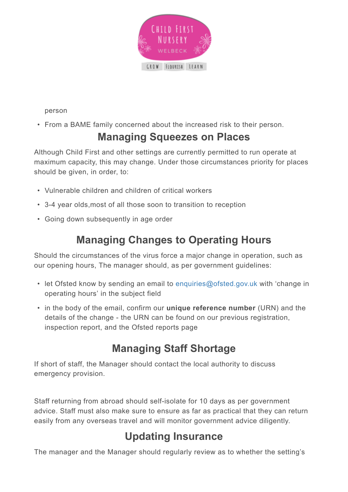

person

• From a BAME family concerned about the increased risk to their person.

#### **Managing Squeezes on Places**

Although Child First and other settings are currently permitted to run operate at maximum capacity, this may change. Under those circumstances priority for places should be given, in order, to:

- Vulnerable children and children of critical workers
- 3-4 year olds,most of all those soon to transition to reception
- Going down subsequently in age order

#### **Managing Changes to Operating Hours**

Should the circumstances of the virus force a major change in operation, such as our opening hours, The manager should, as per government guidelines:

- let Ofsted know by sending an email to [enquiries@ofsted.gov.uk](mailto:enquiries@ofsted.gov.uk) with 'change in operating hours' in the subject field
- in the body of the email, confirm our **unique reference number** (URN) and the details of the change - the URN can be found on our previous registration, inspection report, and the Ofsted reports page

## **Managing Staff Shortage**

If short of staff, the Manager should contact the local authority to discuss emergency provision.

Staff returning from abroad should self-isolate for 10 days as per government advice. Staff must also make sure to ensure as far as practical that they can return easily from any overseas travel and will monitor government advice diligently.

## **Updating Insurance**

The manager and the Manager should regularly review as to whether the setting's